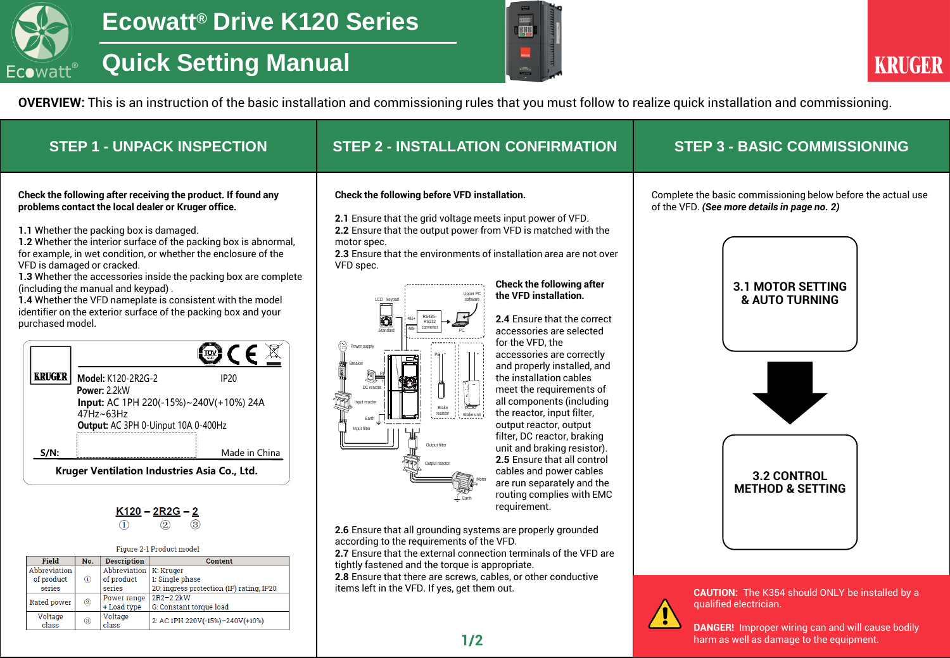

## **Quick Setting Manual**



**OVERVIEW:** This is an instruction of the basic installation and commissioning rules that you must follow to realize quick installation and commissioning.

| <b>STEP 1 - UNPACK INSPECTION</b>                                                                                                                                                                                                                                                                                                                                                                                                                                                                                                                                                                                                                                                                                                                                                                                                                                                                                                                                                                                                                                                                                                                                                                                                                                                                                                                                           | <b>STEP 2 - INSTALLATION CONFIRMATION</b>                                                                                                                                                                                                                                                                                                                                                                                                                                                                                                                                                                                                                                                                                                                                                                                                                                                                                                                                                                                                                                                                                                                                                                                                                                                                                                                                                                                     | <b>STEP 3 - BASIC COMMISSIONING</b>                                                                                                                                                                                                                                                                                                                      |
|-----------------------------------------------------------------------------------------------------------------------------------------------------------------------------------------------------------------------------------------------------------------------------------------------------------------------------------------------------------------------------------------------------------------------------------------------------------------------------------------------------------------------------------------------------------------------------------------------------------------------------------------------------------------------------------------------------------------------------------------------------------------------------------------------------------------------------------------------------------------------------------------------------------------------------------------------------------------------------------------------------------------------------------------------------------------------------------------------------------------------------------------------------------------------------------------------------------------------------------------------------------------------------------------------------------------------------------------------------------------------------|-------------------------------------------------------------------------------------------------------------------------------------------------------------------------------------------------------------------------------------------------------------------------------------------------------------------------------------------------------------------------------------------------------------------------------------------------------------------------------------------------------------------------------------------------------------------------------------------------------------------------------------------------------------------------------------------------------------------------------------------------------------------------------------------------------------------------------------------------------------------------------------------------------------------------------------------------------------------------------------------------------------------------------------------------------------------------------------------------------------------------------------------------------------------------------------------------------------------------------------------------------------------------------------------------------------------------------------------------------------------------------------------------------------------------------|----------------------------------------------------------------------------------------------------------------------------------------------------------------------------------------------------------------------------------------------------------------------------------------------------------------------------------------------------------|
| Check the following after receiving the product. If found any<br>problems contact the local dealer or Kruger office.<br>1.1 Whether the packing box is damaged.<br>1.2 Whether the interior surface of the packing box is abnormal,<br>for example, in wet condition, or whether the enclosure of the<br>VFD is damaged or cracked.<br>1.3 Whether the accessories inside the packing box are complete<br>(including the manual and keypad).<br>1.4 Whether the VFD nameplate is consistent with the model<br>identifier on the exterior surface of the packing box and your<br>purchased model.<br>$\mathbf{C} \in \mathbb{Z}$<br><b>KRUGER</b><br>Model: K120-2R2G-2<br><b>IP20</b><br>Power: 2.2kW<br>Input: AC 1PH 220(-15%)~240V(+10%) 24A<br>$47$ Hz~63Hz<br>Output: AC 3PH 0-Uinput 10A 0-400Hz<br>$S/N$ :<br>Made in China<br>Kruger Ventilation Industries Asia Co., Ltd.<br>$K120 - 2R2G - 2$<br>$\circled{2}$<br>3<br>Figure 2-1 Product model<br><b>Description</b><br><b>Field</b><br>No.<br><b>Content</b><br>Abbreviation   K: Kruger<br>Abbreviation<br>1: Single phase<br>of product<br>$\circled{1}$<br>of product<br>20: ingress protection (IP) rating, IP20<br>series<br>series<br>2R2-2.2kW<br>Power range<br><b>Rated power</b><br>G: Constant torque load<br>+ Load type<br>Voltage<br>Voltage<br>2: AC 1PH 220V(-15%)-240V(+10%)<br>class<br>class | Check the following before VFD installation.<br>2.1 Ensure that the grid voltage meets input power of VFD.<br>2.2 Ensure that the output power from VFD is matched with the<br>motor spec.<br>2.3 Ensure that the environments of installation area are not over<br>VFD spec.<br><b>Check the following after</b><br>Upper PC<br>the VFD installation.<br>software<br>LCD keypad<br>2.4 Ensure that the correct<br>O<br><b>RS232</b><br>converte<br>accessories are selected<br>Standard<br>for the VFD, the<br>Power supply<br>accessories are correctly<br>and properly installed, and<br>the installation cables<br>DC reactor<br>meet the requirements of<br><b>TAL</b><br>all components (including<br>nout reactor<br><b>Brake</b><br>the reactor, input filter,<br>resistor<br>Brake unit<br>Farth<br>output reactor, output<br>filter, DC reactor, braking<br>Output filter<br>unit and braking resistor).<br>2.5 Ensure that all control<br>Output reactor<br>cables and power cables<br>are run separately and the<br>routing complies with EMC<br>requirement.<br>2.6 Ensure that all grounding systems are properly grounded<br>according to the requirements of the VFD.<br>2.7 Ensure that the external connection terminals of the VFD are<br>tightly fastened and the torque is appropriate.<br>2.8 Ensure that there are screws, cables, or other conductive<br>items left in the VFD. If yes, get them out. | Complete the basic commissioning below before the actual use<br>of the VFD. (See more details in page no. 2)<br><b>3.1 MOTOR SETTING</b><br>& AUTO TURNING<br>3.2 CONTROL<br><b>METHOD &amp; SETTING</b><br><b>CAUTION:</b> The K354 should ONLY be installed by a<br>qualified electrician.<br><b>DANGER!</b> Improper wiring can and will cause bodily |

**1/2 harm as well as damage to the equipment.**